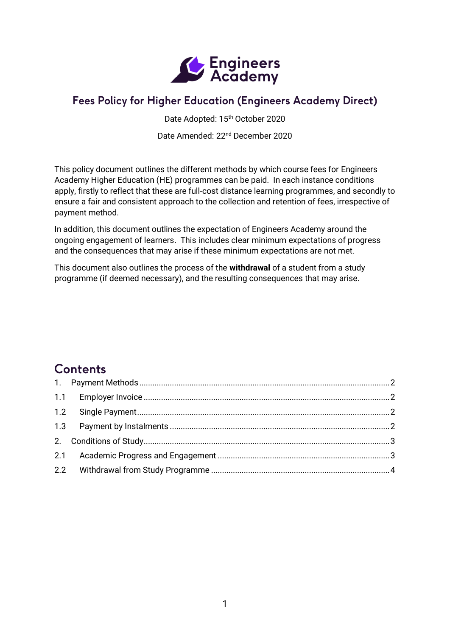

# Fees Policy for Higher Education (Engineers Academy Direct)

Date Adopted: 15th October 2020

Date Amended: 22nd December 2020

This policy document outlines the different methods by which course fees for Engineers Academy Higher Education (HE) programmes can be paid. In each instance conditions apply, firstly to reflect that these are full-cost distance learning programmes, and secondly to ensure a fair and consistent approach to the collection and retention of fees, irrespective of payment method.

In addition, this document outlines the expectation of Engineers Academy around the ongoing engagement of learners. This includes clear minimum expectations of progress and the consequences that may arise if these minimum expectations are not met.

This document also outlines the process of the **withdrawal** of a student from a study programme (if deemed necessary), and the resulting consequences that may arise.

# Contents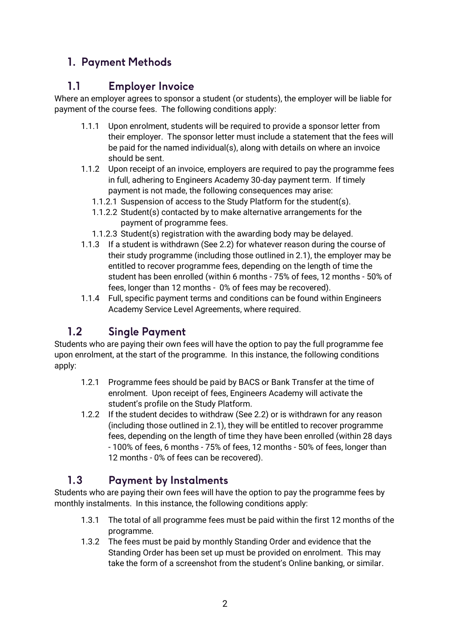# <span id="page-1-1"></span><span id="page-1-0"></span>1. Payment Methods

### $1.1$ **Employer Invoice**

Where an employer agrees to sponsor a student (or students), the employer will be liable for payment of the course fees. The following conditions apply:

- 1.1.1 Upon enrolment, students will be required to provide a sponsor letter from their employer. The sponsor letter must include a statement that the fees will be paid for the named individual(s), along with details on where an invoice should be sent.
- 1.1.2 Upon receipt of an invoice, employers are required to pay the programme fees in full, adhering to Engineers Academy 30-day payment term. If timely payment is not made, the following consequences may arise:
	- 1.1.2.1 Suspension of access to the Study Platform for the student(s).
	- 1.1.2.2 Student(s) contacted by to make alternative arrangements for the payment of programme fees.
	- 1.1.2.3 Student(s) registration with the awarding body may be delayed.
- 1.1.3 If a student is withdrawn (See 2.2) for whatever reason during the course of their study programme (including those outlined in 2.1), the employer may be entitled to recover programme fees, depending on the length of time the student has been enrolled (within 6 months - 75% of fees, 12 months - 50% of fees, longer than 12 months - 0% of fees may be recovered).
- 1.1.4 Full, specific payment terms and conditions can be found within Engineers Academy Service Level Agreements, where required.

#### <span id="page-1-2"></span> $1.2$ **Single Payment**

Students who are paying their own fees will have the option to pay the full programme fee upon enrolment, at the start of the programme. In this instance, the following conditions apply:

- 1.2.1 Programme fees should be paid by BACS or Bank Transfer at the time of enrolment. Upon receipt of fees, Engineers Academy will activate the student's profile on the Study Platform.
- 1.2.2 If the student decides to withdraw (See 2.2) or is withdrawn for any reason (including those outlined in 2.1), they will be entitled to recover programme fees, depending on the length of time they have been enrolled (within 28 days - 100% of fees, 6 months - 75% of fees, 12 months - 50% of fees, longer than 12 months - 0% of fees can be recovered).

#### <span id="page-1-3"></span>**Payment by Instalments**  $1.3$

Students who are paying their own fees will have the option to pay the programme fees by monthly instalments. In this instance, the following conditions apply:

- 1.3.1 The total of all programme fees must be paid within the first 12 months of the programme.
- 1.3.2 The fees must be paid by monthly Standing Order and evidence that the Standing Order has been set up must be provided on enrolment. This may take the form of a screenshot from the student's Online banking, or similar.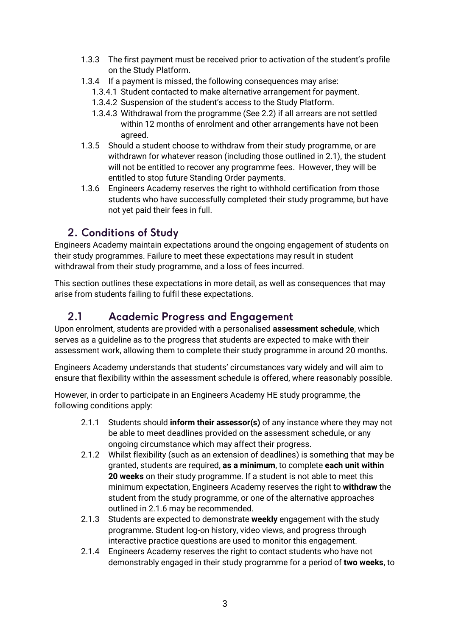- 1.3.3 The first payment must be received prior to activation of the student's profile on the Study Platform.
- 1.3.4 If a payment is missed, the following consequences may arise:
	- 1.3.4.1 Student contacted to make alternative arrangement for payment.
	- 1.3.4.2 Suspension of the student's access to the Study Platform.
	- 1.3.4.3 Withdrawal from the programme (See 2.2) if all arrears are not settled within 12 months of enrolment and other arrangements have not been agreed.
- 1.3.5 Should a student choose to withdraw from their study programme, or are withdrawn for whatever reason (including those outlined in 2.1), the student will not be entitled to recover any programme fees. However, they will be entitled to stop future Standing Order payments.
- 1.3.6 Engineers Academy reserves the right to withhold certification from those students who have successfully completed their study programme, but have not yet paid their fees in full.

# <span id="page-2-0"></span>2. Conditions of Study

Engineers Academy maintain expectations around the ongoing engagement of students on their study programmes. Failure to meet these expectations may result in student withdrawal from their study programme, and a loss of fees incurred.

This section outlines these expectations in more detail, as well as consequences that may arise from students failing to fulfil these expectations.

### <span id="page-2-1"></span> $2.1$ **Academic Progress and Engagement**

Upon enrolment, students are provided with a personalised **assessment schedule**, which serves as a guideline as to the progress that students are expected to make with their assessment work, allowing them to complete their study programme in around 20 months.

Engineers Academy understands that students' circumstances vary widely and will aim to ensure that flexibility within the assessment schedule is offered, where reasonably possible.

However, in order to participate in an Engineers Academy HE study programme, the following conditions apply:

- 2.1.1 Students should **inform their assessor(s)** of any instance where they may not be able to meet deadlines provided on the assessment schedule, or any ongoing circumstance which may affect their progress.
- 2.1.2 Whilst flexibility (such as an extension of deadlines) is something that may be granted, students are required, **as a minimum**, to complete **each unit within 20 weeks** on their study programme. If a student is not able to meet this minimum expectation, Engineers Academy reserves the right to **withdraw** the student from the study programme, or one of the alternative approaches outlined in 2.1.6 may be recommended.
- 2.1.3 Students are expected to demonstrate **weekly** engagement with the study programme. Student log-on history, video views, and progress through interactive practice questions are used to monitor this engagement.
- 2.1.4 Engineers Academy reserves the right to contact students who have not demonstrably engaged in their study programme for a period of **two weeks**, to